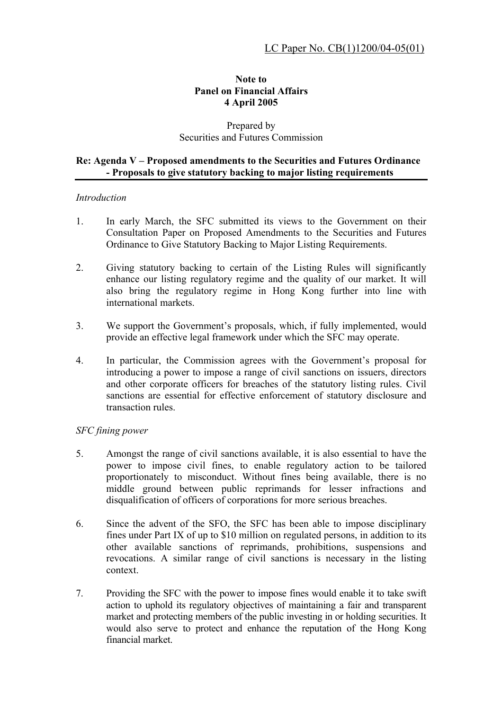## **Note to Panel on Financial Affairs 4 April 2005**

# Prepared by Securities and Futures Commission

### Re: Agenda V – Proposed amendments to the Securities and Futures Ordinance **- Proposals to give statutory backing to major listing requirements**

### *Introduction*

- 1. In early March, the SFC submitted its views to the Government on their Consultation Paper on Proposed Amendments to the Securities and Futures Ordinance to Give Statutory Backing to Major Listing Requirements.
- 2. Giving statutory backing to certain of the Listing Rules will significantly enhance our listing regulatory regime and the quality of our market. It will also bring the regulatory regime in Hong Kong further into line with international markets.
- 3. We support the Government's proposals, which, if fully implemented, would provide an effective legal framework under which the SFC may operate.
- 4. In particular, the Commission agrees with the Government's proposal for introducing a power to impose a range of civil sanctions on issuers, directors and other corporate officers for breaches of the statutory listing rules. Civil sanctions are essential for effective enforcement of statutory disclosure and transaction rules.

# *SFC fining power*

- 5. Amongst the range of civil sanctions available, it is also essential to have the power to impose civil fines, to enable regulatory action to be tailored proportionately to misconduct. Without fines being available, there is no middle ground between public reprimands for lesser infractions and disqualification of officers of corporations for more serious breaches.
- 6. Since the advent of the SFO, the SFC has been able to impose disciplinary fines under Part IX of up to \$10 million on regulated persons, in addition to its other available sanctions of reprimands, prohibitions, suspensions and revocations. A similar range of civil sanctions is necessary in the listing context.
- 7. Providing the SFC with the power to impose fines would enable it to take swift action to uphold its regulatory objectives of maintaining a fair and transparent market and protecting members of the public investing in or holding securities. It would also serve to protect and enhance the reputation of the Hong Kong financial market.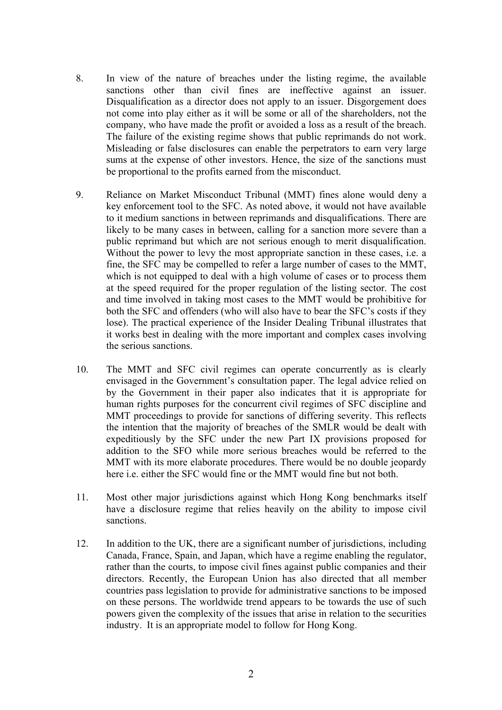- 8. In view of the nature of breaches under the listing regime, the available sanctions other than civil fines are ineffective against an issuer. Disqualification as a director does not apply to an issuer. Disgorgement does not come into play either as it will be some or all of the shareholders, not the company, who have made the profit or avoided a loss as a result of the breach. The failure of the existing regime shows that public reprimands do not work. Misleading or false disclosures can enable the perpetrators to earn very large sums at the expense of other investors. Hence, the size of the sanctions must be proportional to the profits earned from the misconduct.
- 9. Reliance on Market Misconduct Tribunal (MMT) fines alone would deny a key enforcement tool to the SFC. As noted above, it would not have available to it medium sanctions in between reprimands and disqualifications. There are likely to be many cases in between, calling for a sanction more severe than a public reprimand but which are not serious enough to merit disqualification. Without the power to levy the most appropriate sanction in these cases, i.e. a fine, the SFC may be compelled to refer a large number of cases to the MMT, which is not equipped to deal with a high volume of cases or to process them at the speed required for the proper regulation of the listing sector. The cost and time involved in taking most cases to the MMT would be prohibitive for both the SFC and offenders (who will also have to bear the SFC's costs if they lose). The practical experience of the Insider Dealing Tribunal illustrates that it works best in dealing with the more important and complex cases involving the serious sanctions.
- 10. The MMT and SFC civil regimes can operate concurrently as is clearly envisaged in the Government's consultation paper. The legal advice relied on by the Government in their paper also indicates that it is appropriate for human rights purposes for the concurrent civil regimes of SFC discipline and MMT proceedings to provide for sanctions of differing severity. This reflects the intention that the majority of breaches of the SMLR would be dealt with expeditiously by the SFC under the new Part IX provisions proposed for addition to the SFO while more serious breaches would be referred to the MMT with its more elaborate procedures. There would be no double jeopardy here i.e. either the SFC would fine or the MMT would fine but not both.
- 11. Most other major jurisdictions against which Hong Kong benchmarks itself have a disclosure regime that relies heavily on the ability to impose civil sanctions.
- 12. In addition to the UK, there are a significant number of jurisdictions, including Canada, France, Spain, and Japan, which have a regime enabling the regulator, rather than the courts, to impose civil fines against public companies and their directors. Recently, the European Union has also directed that all member countries pass legislation to provide for administrative sanctions to be imposed on these persons. The worldwide trend appears to be towards the use of such powers given the complexity of the issues that arise in relation to the securities industry. It is an appropriate model to follow for Hong Kong.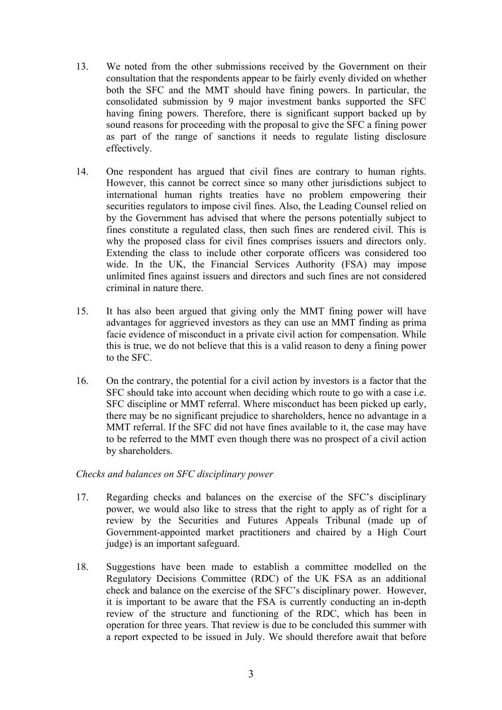- 13. We noted from the other submissions received by the Government on their consultation that the respondents appear to be fairly evenly divided on whether both the SFC and the MMT should have fining powers. In particular, the consolidated submission by 9 major investment banks supported the SFC having fining powers. Therefore, there is significant support backed up by sound reasons for proceeding with the proposal to give the SFC a fining power as part of the range of sanctions it needs to regulate listing disclosure effectively.
- 14. One respondent has argued that civil fines are contrary to human rights. However, this cannot be correct since so many other jurisdictions subject to international human rights treaties have no problem empowering their securities regulators to impose civil fines. Also, the Leading Counsel relied on by the Government has advised that where the persons potentially subject to fines constitute a regulated class, then such fines are rendered civil. This is why the proposed class for civil fines comprises issuers and directors only. Extending the class to include other corporate officers was considered too wide. In the UK, the Financial Services Authority (FSA) may impose unlimited fines against issuers and directors and such fines are not considered criminal in nature there.
- 15. It has also been argued that giving only the MMT fining power will have advantages for aggrieved investors as they can use an MMT finding as prima facie evidence of misconduct in a private civil action for compensation. While this is true, we do not believe that this is a valid reason to deny a fining power to the SFC.
- 16. On the contrary, the potential for a civil action by investors is a factor that the SFC should take into account when deciding which route to go with a case i.e. SFC discipline or MMT referral. Where misconduct has been picked up early, there may be no significant prejudice to shareholders, hence no advantage in a MMT referral. If the SFC did not have fines available to it, the case may have to be referred to the MMT even though there was no prospect of a civil action by shareholders.

#### *Checks and balances on SFC disciplinary power*

- 17. Regarding checks and balances on the exercise of the SFC's disciplinary power, we would also like to stress that the right to apply as of right for a review by the Securities and Futures Appeals Tribunal (made up of Government-appointed market practitioners and chaired by a High Court judge) is an important safeguard.
- 18. Suggestions have been made to establish a committee modelled on the Regulatory Decisions Committee (RDC) of the UK FSA as an additional check and balance on the exercise of the SFC's disciplinary power. However, it is important to be aware that the FSA is currently conducting an in-depth review of the structure and functioning of the RDC, which has been in operation for three years. That review is due to be concluded this summer with a report expected to be issued in July. We should therefore await that before